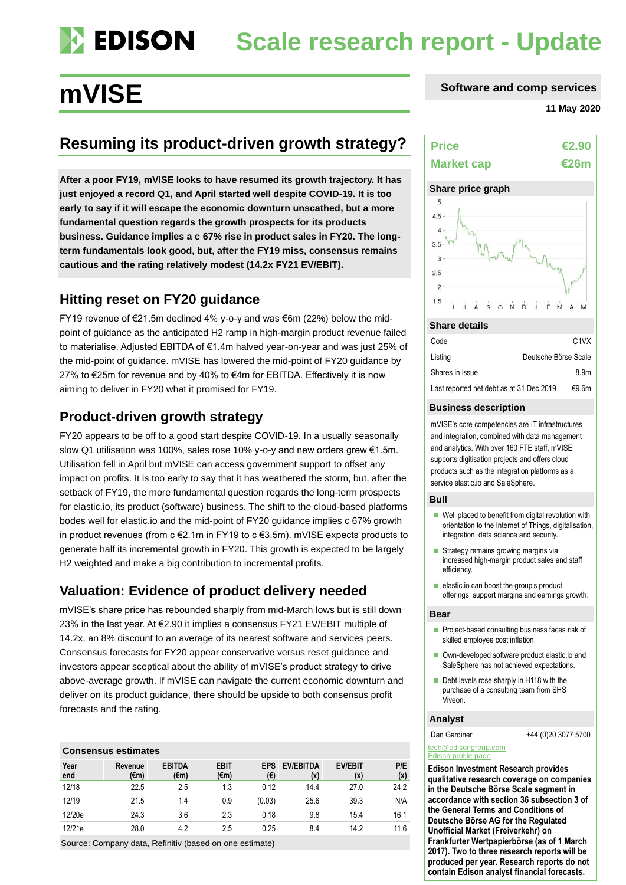# **Scale research report - Update**

## **Resuming its product-driven growth strategy?**

**After a poor FY19, mVISE looks to have resumed its growth trajectory. It has just enjoyed a record Q1, and April started well despite COVID-19. It is too early to say if it will escape the economic downturn unscathed, but a more fundamental question regards the growth prospects for its products business. Guidance implies a c 67% rise in product sales in FY20. The longterm fundamentals look good, but, after the FY19 miss, consensus remains cautious and the rating relatively modest (14.2x FY21 EV/EBIT).**

## **Hitting reset on FY20 guidance**

FY19 revenue of €21.5m declined 4% y-o-y and was €6m (22%) below the midpoint of guidance as the anticipated H2 ramp in high-margin product revenue failed to materialise. Adjusted EBITDA of €1.4m halved year-on-year and was just 25% of the mid-point of guidance. mVISE has lowered the mid-point of FY20 guidance by 27% to €25m for revenue and by 40% to €4m for EBITDA. Effectively it is now aiming to deliver in FY20 what it promised for FY19.

## **Product-driven growth strategy**

FY20 appears to be off to a good start despite COVID-19. In a usually seasonally slow Q1 utilisation was 100%, sales rose 10% y-o-y and new orders grew €1.5m. Utilisation fell in April but mVISE can access government support to offset any impact on profits. It is too early to say that it has weathered the storm, but, after the setback of FY19, the more fundamental question regards the long-term prospects for elastic.io, its product (software) business. The shift to the cloud-based platforms bodes well for elastic.io and the mid-point of FY20 guidance implies c 67% growth in product revenues (from c €2.1m in FY19 to c €3.5m). mVISE expects products to generate half its incremental growth in FY20. This growth is expected to be largely H2 weighted and make a big contribution to incremental profits.

## **Valuation: Evidence of product delivery needed**

mVISE's share price has rebounded sharply from mid-March lows but is still down 23% in the last year. At €2.90 it implies a consensus FY21 EV/EBIT multiple of 14.2x, an 8% discount to an average of its nearest software and services peers. Consensus forecasts for FY20 appear conservative versus reset guidance and investors appear sceptical about the ability of mVISE's product strategy to drive above-average growth. If mVISE can navigate the current economic downturn and deliver on its product guidance, there should be upside to both consensus profit forecasts and the rating.

### **Consensus estimates**

| Year<br>end | Revenue<br>$(\epsilon m)$ | <b>EBITDA</b><br>(€m) | <b>EBIT</b><br>$(\epsilon m)$ | EPS<br>(€) | <b>EV/EBITDA</b><br>(x) | <b>EV/EBIT</b><br>(x) | P/E<br>(x) |
|-------------|---------------------------|-----------------------|-------------------------------|------------|-------------------------|-----------------------|------------|
| 12/18       | 22.5                      | 2.5                   | 1.3                           | 0.12       | 14.4                    | 27.0                  | 24.2       |
| 12/19       | 21.5                      | 1.4                   | 0.9                           | (0.03)     | 25.6                    | 39.3                  | N/A        |
| 12/20e      | 24.3                      | 3.6                   | 2.3                           | 0.18       | 9.8                     | 15.4                  | 16.1       |
| 12/21e      | 28.0                      | 4.2                   | 2.5                           | 0.25       | 8.4                     | 14.2                  | 11.6       |

Source: Company data, Refinitiv (based on one estimate)

## **mVISE** software and comp services

#### **11 May 2020**

t in de



#### **Share details**

| Code                                     | C <sub>1</sub> VX    |
|------------------------------------------|----------------------|
| Listing                                  | Deutsche Börse Scale |
| Shares in issue                          | 8.9m                 |
| Last reported net debt as at 31 Dec 2019 | €9.6m                |

#### **Business description**

mVISE's core competencies are IT infrastructures and integration, combined with data management and analytics. With over 160 FTE staff, mVISE supports digitisation projects and offers cloud products such as the integration platforms as a service elastic.io and SaleSphere.

### **Bull**

- Well placed to benefit from digital revolution with orientation to the Internet of Things, digitalisation, integration, data science and security.
- Strategy remains growing margins via increased high-margin product sales and staff efficiency.
- elastic.io can boost the group's product offerings, support margins and earnings growth.

#### **Bear**

- Project-based consulting business faces risk of skilled employee cost inflation.
- Own-developed software product elastic.io and SaleSphere has not achieved expectations.
- Debt levels rose sharply in H118 with the purchase of a consulting team from SHS Viveon.

#### **Analyst**

Dan Gardiner +44 (0)20 3077 5700

#### [tech@edisongroup.com](mailto:tech@edisongroup.com) [Edison profile page](https://www.edisongroup.com/company/mvise/2576/)

**Edison Investment Research provides qualitative research coverage on companies in the Deutsche Börse Scale segment in accordance with section 36 subsection 3 of the General Terms and Conditions of Deutsche Börse AG for the Regulated Unofficial Market (Freiverkehr) on Frankfurter Wertpapierbörse (as of 1 March 2017). Two to three research reports will be produced per year. Research reports do not contain Edison analyst financial forecasts.**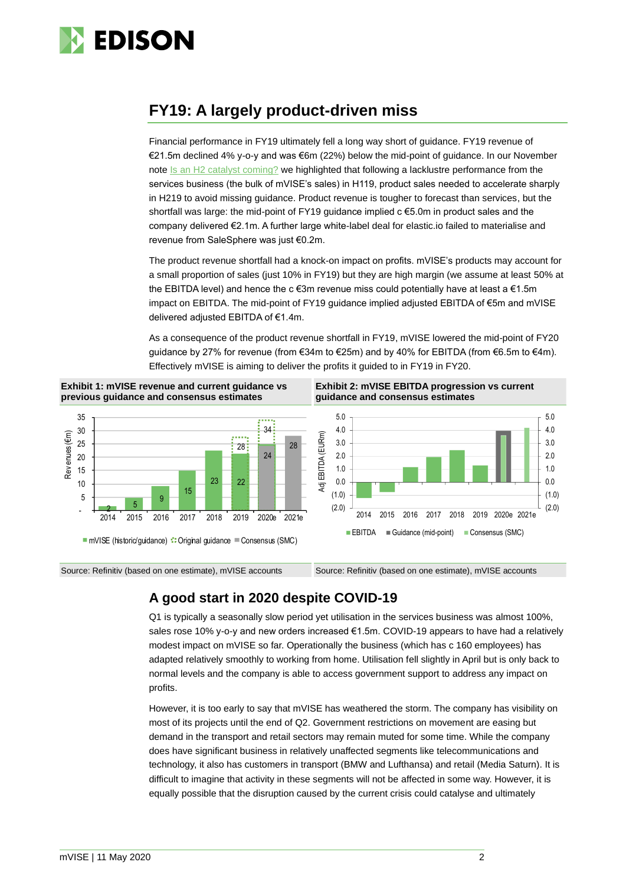

## **FY19: A largely product-driven miss**

Financial performance in FY19 ultimately fell a long way short of guidance. FY19 revenue of €21.5m declined 4% y-o-y and was €6m (22%) below the mid-point of guidance. In our November note [Is an H2 catalyst coming?](https://www.edisongroup.com/publication/is-an-h2-catalyst-coming-2/25509/) we highlighted that following a lacklustre performance from the services business (the bulk of mVISE's sales) in H119, product sales needed to accelerate sharply in H219 to avoid missing guidance. Product revenue is tougher to forecast than services, but the shortfall was large: the mid-point of FY19 guidance implied c €5.0m in product sales and the company delivered €2.1m. A further large white-label deal for elastic.io failed to materialise and revenue from SaleSphere was just €0.2m.

The product revenue shortfall had a knock-on impact on profits. mVISE's products may account for a small proportion of sales (just 10% in FY19) but they are high margin (we assume at least 50% at the EBITDA level) and hence the c  $\epsilon$ 3m revenue miss could potentially have at least a  $\epsilon$ 1.5m impact on EBITDA. The mid-point of FY19 guidance implied adjusted EBITDA of €5m and mVISE delivered adjusted EBITDA of €1.4m.

As a consequence of the product revenue shortfall in FY19, mVISE lowered the mid-point of FY20 guidance by 27% for revenue (from €34m to €25m) and by 40% for EBITDA (from €6.5m to €4m). Effectively mVISE is aiming to deliver the profits it guided to in FY19 in FY20.





**Exhibit 2: mVISE EBITDA progression vs current guidance and consensus estimates**



Source: Refinitiv (based on one estimate), mVISE accounts Source: Refinitiv (based on one estimate), mVISE accounts

## **A good start in 2020 despite COVID-19**

Q1 is typically a seasonally slow period yet utilisation in the services business was almost 100%, sales rose 10% y-o-y and new orders increased €1.5m. COVID-19 appears to have had a relatively modest impact on mVISE so far. Operationally the business (which has c 160 employees) has adapted relatively smoothly to working from home. Utilisation fell slightly in April but is only back to normal levels and the company is able to access government support to address any impact on profits.

However, it is too early to say that mVISE has weathered the storm. The company has visibility on most of its projects until the end of Q2. Government restrictions on movement are easing but demand in the transport and retail sectors may remain muted for some time. While the company does have significant business in relatively unaffected segments like telecommunications and technology, it also has customers in transport (BMW and Lufthansa) and retail (Media Saturn). It is difficult to imagine that activity in these segments will not be affected in some way. However, it is equally possible that the disruption caused by the current crisis could catalyse and ultimately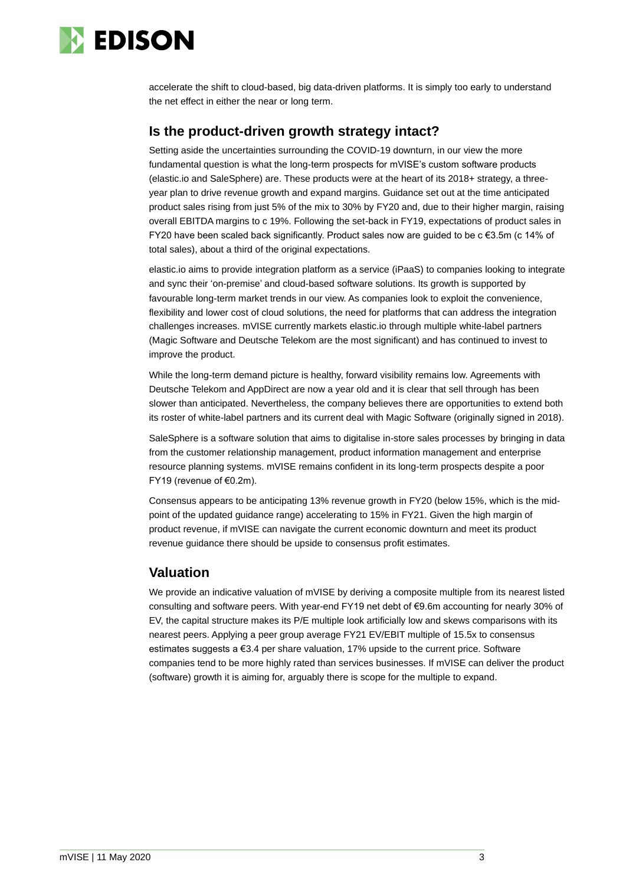

accelerate the shift to cloud-based, big data-driven platforms. It is simply too early to understand the net effect in either the near or long term.

## **Is the product-driven growth strategy intact?**

Setting aside the uncertainties surrounding the COVID-19 downturn, in our view the more fundamental question is what the long-term prospects for mVISE's custom software products (elastic.io and SaleSphere) are. These products were at the heart of its 2018+ strategy, a threeyear plan to drive revenue growth and expand margins. Guidance set out at the time anticipated product sales rising from just 5% of the mix to 30% by FY20 and, due to their higher margin, raising overall EBITDA margins to c 19%. Following the set-back in FY19, expectations of product sales in FY20 have been scaled back significantly. Product sales now are guided to be c €3.5m (c 14% of total sales), about a third of the original expectations.

elastic.io aims to provide integration platform as a service (iPaaS) to companies looking to integrate and sync their 'on-premise' and cloud-based software solutions. Its growth is supported by favourable long-term market trends in our view. As companies look to exploit the convenience, flexibility and lower cost of cloud solutions, the need for platforms that can address the integration challenges increases. mVISE currently markets elastic.io through multiple white-label partners (Magic Software and Deutsche Telekom are the most significant) and has continued to invest to improve the product.

While the long-term demand picture is healthy, forward visibility remains low. Agreements with Deutsche Telekom and AppDirect are now a year old and it is clear that sell through has been slower than anticipated. Nevertheless, the company believes there are opportunities to extend both its roster of white-label partners and its current deal with Magic Software (originally signed in 2018).

SaleSphere is a software solution that aims to digitalise in-store sales processes by bringing in data from the customer relationship management, product information management and enterprise resource planning systems. mVISE remains confident in its long-term prospects despite a poor FY19 (revenue of €0.2m).

Consensus appears to be anticipating 13% revenue growth in FY20 (below 15%, which is the midpoint of the updated guidance range) accelerating to 15% in FY21. Given the high margin of product revenue, if mVISE can navigate the current economic downturn and meet its product revenue guidance there should be upside to consensus profit estimates.

## **Valuation**

We provide an indicative valuation of mVISE by deriving a composite multiple from its nearest listed consulting and software peers. With year-end FY19 net debt of €9.6m accounting for nearly 30% of EV, the capital structure makes its P/E multiple look artificially low and skews comparisons with its nearest peers. Applying a peer group average FY21 EV/EBIT multiple of 15.5x to consensus estimates suggests a €3.4 per share valuation, 17% upside to the current price. Software companies tend to be more highly rated than services businesses. If mVISE can deliver the product (software) growth it is aiming for, arguably there is scope for the multiple to expand.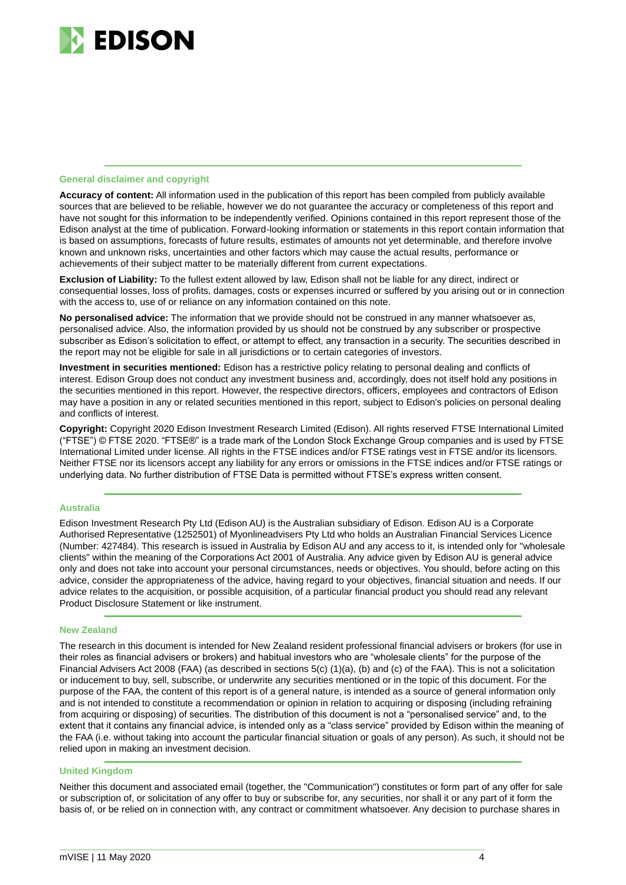

#### **General disclaimer and copyright**

**Accuracy of content:** All information used in the publication of this report has been compiled from publicly available sources that are believed to be reliable, however we do not guarantee the accuracy or completeness of this report and have not sought for this information to be independently verified. Opinions contained in this report represent those of the Edison analyst at the time of publication. Forward-looking information or statements in this report contain information that is based on assumptions, forecasts of future results, estimates of amounts not yet determinable, and therefore involve known and unknown risks, uncertainties and other factors which may cause the actual results, performance or achievements of their subject matter to be materially different from current expectations.

**Exclusion of Liability:** To the fullest extent allowed by law, Edison shall not be liable for any direct, indirect or consequential losses, loss of profits, damages, costs or expenses incurred or suffered by you arising out or in connection with the access to, use of or reliance on any information contained on this note.

**No personalised advice:** The information that we provide should not be construed in any manner whatsoever as, personalised advice. Also, the information provided by us should not be construed by any subscriber or prospective subscriber as Edison's solicitation to effect, or attempt to effect, any transaction in a security. The securities described in the report may not be eligible for sale in all jurisdictions or to certain categories of investors.

**Investment in securities mentioned:** Edison has a restrictive policy relating to personal dealing and conflicts of interest. Edison Group does not conduct any investment business and, accordingly, does not itself hold any positions in the securities mentioned in this report. However, the respective directors, officers, employees and contractors of Edison may have a position in any or related securities mentioned in this report, subject to Edison's policies on personal dealing and conflicts of interest.

**Copyright:** Copyright 2020 Edison Investment Research Limited (Edison). All rights reserved FTSE International Limited ("FTSE") © FTSE 2020. "FTSE®" is a trade mark of the London Stock Exchange Group companies and is used by FTSE International Limited under license. All rights in the FTSE indices and/or FTSE ratings vest in FTSE and/or its licensors. Neither FTSE nor its licensors accept any liability for any errors or omissions in the FTSE indices and/or FTSE ratings or underlying data. No further distribution of FTSE Data is permitted without FTSE's express written consent.

#### **Australia**

Edison Investment Research Pty Ltd (Edison AU) is the Australian subsidiary of Edison. Edison AU is a Corporate Authorised Representative (1252501) of Myonlineadvisers Pty Ltd who holds an Australian Financial Services Licence (Number: 427484). This research is issued in Australia by Edison AU and any access to it, is intended only for "wholesale clients" within the meaning of the Corporations Act 2001 of Australia. Any advice given by Edison AU is general advice only and does not take into account your personal circumstances, needs or objectives. You should, before acting on this advice, consider the appropriateness of the advice, having regard to your objectives, financial situation and needs. If our advice relates to the acquisition, or possible acquisition, of a particular financial product you should read any relevant Product Disclosure Statement or like instrument.

#### **New Zealand**

The research in this document is intended for New Zealand resident professional financial advisers or brokers (for use in their roles as financial advisers or brokers) and habitual investors who are "wholesale clients" for the purpose of the Financial Advisers Act 2008 (FAA) (as described in sections 5(c) (1)(a), (b) and (c) of the FAA). This is not a solicitation or inducement to buy, sell, subscribe, or underwrite any securities mentioned or in the topic of this document. For the purpose of the FAA, the content of this report is of a general nature, is intended as a source of general information only and is not intended to constitute a recommendation or opinion in relation to acquiring or disposing (including refraining from acquiring or disposing) of securities. The distribution of this document is not a "personalised service" and, to the extent that it contains any financial advice, is intended only as a "class service" provided by Edison within the meaning of the FAA (i.e. without taking into account the particular financial situation or goals of any person). As such, it should not be relied upon in making an investment decision.

#### **United Kingdom**

Neither this document and associated email (together, the "Communication") constitutes or form part of any offer for sale or subscription of, or solicitation of any offer to buy or subscribe for, any securities, nor shall it or any part of it form the basis of, or be relied on in connection with, any contract or commitment whatsoever. Any decision to purchase shares in